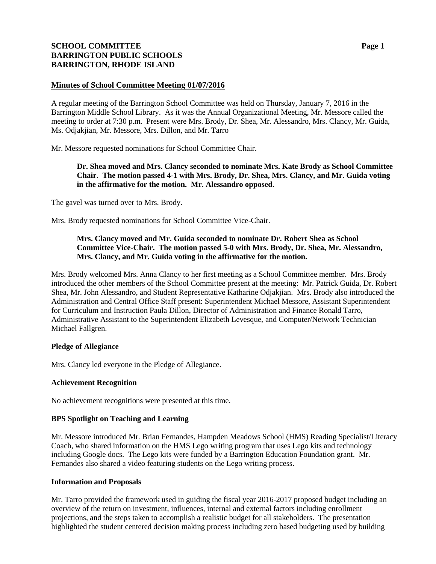# **SCHOOL COMMITTEE Page 1 BARRINGTON PUBLIC SCHOOLS BARRINGTON, RHODE ISLAND**

## **Minutes of School Committee Meeting 01/07/2016**

A regular meeting of the Barrington School Committee was held on Thursday, January 7, 2016 in the Barrington Middle School Library. As it was the Annual Organizational Meeting, Mr. Messore called the meeting to order at 7:30 p.m. Present were Mrs. Brody, Dr. Shea, Mr. Alessandro, Mrs. Clancy, Mr. Guida, Ms. Odjakjian, Mr. Messore, Mrs. Dillon, and Mr. Tarro

Mr. Messore requested nominations for School Committee Chair.

## **Dr. Shea moved and Mrs. Clancy seconded to nominate Mrs. Kate Brody as School Committee Chair. The motion passed 4-1 with Mrs. Brody, Dr. Shea, Mrs. Clancy, and Mr. Guida voting in the affirmative for the motion. Mr. Alessandro opposed.**

The gavel was turned over to Mrs. Brody.

Mrs. Brody requested nominations for School Committee Vice-Chair.

## **Mrs. Clancy moved and Mr. Guida seconded to nominate Dr. Robert Shea as School Committee Vice-Chair. The motion passed 5-0 with Mrs. Brody, Dr. Shea, Mr. Alessandro, Mrs. Clancy, and Mr. Guida voting in the affirmative for the motion.**

Mrs. Brody welcomed Mrs. Anna Clancy to her first meeting as a School Committee member. Mrs. Brody introduced the other members of the School Committee present at the meeting: Mr. Patrick Guida, Dr. Robert Shea, Mr. John Alessandro, and Student Representative Katharine Odjakjian. Mrs. Brody also introduced the Administration and Central Office Staff present: Superintendent Michael Messore, Assistant Superintendent for Curriculum and Instruction Paula Dillon, Director of Administration and Finance Ronald Tarro, Administrative Assistant to the Superintendent Elizabeth Levesque, and Computer/Network Technician Michael Fallgren.

## **Pledge of Allegiance**

Mrs. Clancy led everyone in the Pledge of Allegiance.

## **Achievement Recognition**

No achievement recognitions were presented at this time.

## **BPS Spotlight on Teaching and Learning**

Mr. Messore introduced Mr. Brian Fernandes, Hampden Meadows School (HMS) Reading Specialist/Literacy Coach, who shared information on the HMS Lego writing program that uses Lego kits and technology including Google docs. The Lego kits were funded by a Barrington Education Foundation grant. Mr. Fernandes also shared a video featuring students on the Lego writing process.

## **Information and Proposals**

Mr. Tarro provided the framework used in guiding the fiscal year 2016-2017 proposed budget including an overview of the return on investment, influences, internal and external factors including enrollment projections, and the steps taken to accomplish a realistic budget for all stakeholders. The presentation highlighted the student centered decision making process including zero based budgeting used by building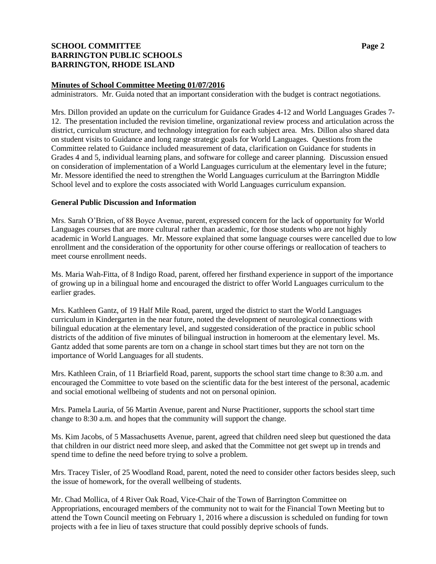# **SCHOOL COMMITTEE Page 2 BARRINGTON PUBLIC SCHOOLS BARRINGTON, RHODE ISLAND**

## **Minutes of School Committee Meeting 01/07/2016**

administrators. Mr. Guida noted that an important consideration with the budget is contract negotiations.

Mrs. Dillon provided an update on the curriculum for Guidance Grades 4-12 and World Languages Grades 7- 12. The presentation included the revision timeline, organizational review process and articulation across the district, curriculum structure, and technology integration for each subject area. Mrs. Dillon also shared data on student visits to Guidance and long range strategic goals for World Languages. Questions from the Committee related to Guidance included measurement of data, clarification on Guidance for students in Grades 4 and 5, individual learning plans, and software for college and career planning. Discussion ensued on consideration of implementation of a World Languages curriculum at the elementary level in the future; Mr. Messore identified the need to strengthen the World Languages curriculum at the Barrington Middle School level and to explore the costs associated with World Languages curriculum expansion.

#### **General Public Discussion and Information**

Mrs. Sarah O'Brien, of 88 Boyce Avenue, parent, expressed concern for the lack of opportunity for World Languages courses that are more cultural rather than academic, for those students who are not highly academic in World Languages. Mr. Messore explained that some language courses were cancelled due to low enrollment and the consideration of the opportunity for other course offerings or reallocation of teachers to meet course enrollment needs.

Ms. Maria Wah-Fitta, of 8 Indigo Road, parent, offered her firsthand experience in support of the importance of growing up in a bilingual home and encouraged the district to offer World Languages curriculum to the earlier grades.

Mrs. Kathleen Gantz, of 19 Half Mile Road, parent, urged the district to start the World Languages curriculum in Kindergarten in the near future, noted the development of neurological connections with bilingual education at the elementary level, and suggested consideration of the practice in public school districts of the addition of five minutes of bilingual instruction in homeroom at the elementary level. Ms. Gantz added that some parents are torn on a change in school start times but they are not torn on the importance of World Languages for all students.

Mrs. Kathleen Crain, of 11 Briarfield Road, parent, supports the school start time change to 8:30 a.m. and encouraged the Committee to vote based on the scientific data for the best interest of the personal, academic and social emotional wellbeing of students and not on personal opinion.

Mrs. Pamela Lauria, of 56 Martin Avenue, parent and Nurse Practitioner, supports the school start time change to 8:30 a.m. and hopes that the community will support the change.

Ms. Kim Jacobs, of 5 Massachusetts Avenue, parent, agreed that children need sleep but questioned the data that children in our district need more sleep, and asked that the Committee not get swept up in trends and spend time to define the need before trying to solve a problem.

Mrs. Tracey Tisler, of 25 Woodland Road, parent, noted the need to consider other factors besides sleep, such the issue of homework, for the overall wellbeing of students.

Mr. Chad Mollica, of 4 River Oak Road, Vice-Chair of the Town of Barrington Committee on Appropriations, encouraged members of the community not to wait for the Financial Town Meeting but to attend the Town Council meeting on February 1, 2016 where a discussion is scheduled on funding for town projects with a fee in lieu of taxes structure that could possibly deprive schools of funds.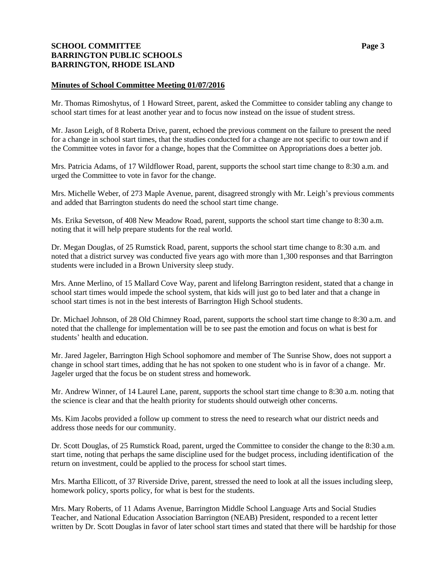# **SCHOOL COMMITTEE Page 3 BARRINGTON PUBLIC SCHOOLS BARRINGTON, RHODE ISLAND**

## **Minutes of School Committee Meeting 01/07/2016**

Mr. Thomas Rimoshytus, of 1 Howard Street, parent, asked the Committee to consider tabling any change to school start times for at least another year and to focus now instead on the issue of student stress.

Mr. Jason Leigh, of 8 Roberta Drive, parent, echoed the previous comment on the failure to present the need for a change in school start times, that the studies conducted for a change are not specific to our town and if the Committee votes in favor for a change, hopes that the Committee on Appropriations does a better job.

Mrs. Patricia Adams, of 17 Wildflower Road, parent, supports the school start time change to 8:30 a.m. and urged the Committee to vote in favor for the change.

Mrs. Michelle Weber, of 273 Maple Avenue, parent, disagreed strongly with Mr. Leigh's previous comments and added that Barrington students do need the school start time change.

Ms. Erika Sevetson, of 408 New Meadow Road, parent, supports the school start time change to 8:30 a.m. noting that it will help prepare students for the real world.

Dr. Megan Douglas, of 25 Rumstick Road, parent, supports the school start time change to 8:30 a.m. and noted that a district survey was conducted five years ago with more than 1,300 responses and that Barrington students were included in a Brown University sleep study.

Mrs. Anne Merlino, of 15 Mallard Cove Way, parent and lifelong Barrington resident, stated that a change in school start times would impede the school system, that kids will just go to bed later and that a change in school start times is not in the best interests of Barrington High School students.

Dr. Michael Johnson, of 28 Old Chimney Road, parent, supports the school start time change to 8:30 a.m. and noted that the challenge for implementation will be to see past the emotion and focus on what is best for students' health and education.

Mr. Jared Jageler, Barrington High School sophomore and member of The Sunrise Show, does not support a change in school start times, adding that he has not spoken to one student who is in favor of a change. Mr. Jageler urged that the focus be on student stress and homework.

Mr. Andrew Winner, of 14 Laurel Lane, parent, supports the school start time change to 8:30 a.m. noting that the science is clear and that the health priority for students should outweigh other concerns.

Ms. Kim Jacobs provided a follow up comment to stress the need to research what our district needs and address those needs for our community.

Dr. Scott Douglas, of 25 Rumstick Road, parent, urged the Committee to consider the change to the 8:30 a.m. start time, noting that perhaps the same discipline used for the budget process, including identification of the return on investment, could be applied to the process for school start times.

Mrs. Martha Ellicott, of 37 Riverside Drive, parent, stressed the need to look at all the issues including sleep, homework policy, sports policy, for what is best for the students.

Mrs. Mary Roberts, of 11 Adams Avenue, Barrington Middle School Language Arts and Social Studies Teacher, and National Education Association Barrington (NEAB) President, responded to a recent letter written by Dr. Scott Douglas in favor of later school start times and stated that there will be hardship for those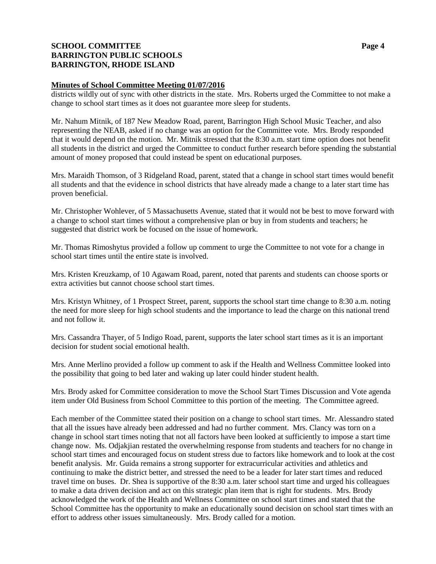# **SCHOOL COMMITTEE Page 4 BARRINGTON PUBLIC SCHOOLS BARRINGTON, RHODE ISLAND**

## **Minutes of School Committee Meeting 01/07/2016**

districts wildly out of sync with other districts in the state. Mrs. Roberts urged the Committee to not make a change to school start times as it does not guarantee more sleep for students.

Mr. Nahum Mitnik, of 187 New Meadow Road, parent, Barrington High School Music Teacher, and also representing the NEAB, asked if no change was an option for the Committee vote. Mrs. Brody responded that it would depend on the motion. Mr. Mitnik stressed that the 8:30 a.m. start time option does not benefit all students in the district and urged the Committee to conduct further research before spending the substantial amount of money proposed that could instead be spent on educational purposes.

Mrs. Maraidh Thomson, of 3 Ridgeland Road, parent, stated that a change in school start times would benefit all students and that the evidence in school districts that have already made a change to a later start time has proven beneficial.

Mr. Christopher Wohlever, of 5 Massachusetts Avenue, stated that it would not be best to move forward with a change to school start times without a comprehensive plan or buy in from students and teachers; he suggested that district work be focused on the issue of homework.

Mr. Thomas Rimoshytus provided a follow up comment to urge the Committee to not vote for a change in school start times until the entire state is involved.

Mrs. Kristen Kreuzkamp, of 10 Agawam Road, parent, noted that parents and students can choose sports or extra activities but cannot choose school start times.

Mrs. Kristyn Whitney, of 1 Prospect Street, parent, supports the school start time change to 8:30 a.m. noting the need for more sleep for high school students and the importance to lead the charge on this national trend and not follow it.

Mrs. Cassandra Thayer, of 5 Indigo Road, parent, supports the later school start times as it is an important decision for student social emotional health.

Mrs. Anne Merlino provided a follow up comment to ask if the Health and Wellness Committee looked into the possibility that going to bed later and waking up later could hinder student health.

Mrs. Brody asked for Committee consideration to move the School Start Times Discussion and Vote agenda item under Old Business from School Committee to this portion of the meeting. The Committee agreed.

Each member of the Committee stated their position on a change to school start times. Mr. Alessandro stated that all the issues have already been addressed and had no further comment. Mrs. Clancy was torn on a change in school start times noting that not all factors have been looked at sufficiently to impose a start time change now. Ms. Odjakjian restated the overwhelming response from students and teachers for no change in school start times and encouraged focus on student stress due to factors like homework and to look at the cost benefit analysis. Mr. Guida remains a strong supporter for extracurricular activities and athletics and continuing to make the district better, and stressed the need to be a leader for later start times and reduced travel time on buses. Dr. Shea is supportive of the 8:30 a.m. later school start time and urged his colleagues to make a data driven decision and act on this strategic plan item that is right for students. Mrs. Brody acknowledged the work of the Health and Wellness Committee on school start times and stated that the School Committee has the opportunity to make an educationally sound decision on school start times with an effort to address other issues simultaneously. Mrs. Brody called for a motion.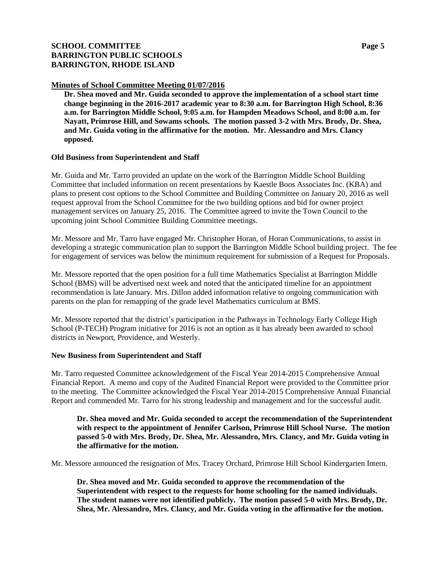# **SCHOOL COMMITTEE Page 5 BARRINGTON PUBLIC SCHOOLS BARRINGTON, RHODE ISLAND**

#### **Minutes of School Committee Meeting 01/07/2016**

**Dr. Shea moved and Mr. Guida seconded to approve the implementation of a school start time change beginning in the 2016-2017 academic year to 8:30 a.m. for Barrington High School, 8:36 a.m. for Barrington Middle School, 9:05 a.m. for Hampden Meadows School, and 8:00 a.m. for Nayatt, Primrose Hill, and Sowams schools. The motion passed 3-2 with Mrs. Brody, Dr. Shea, and Mr. Guida voting in the affirmative for the motion. Mr. Alessandro and Mrs. Clancy opposed.**

#### **Old Business from Superintendent and Staff**

Mr. Guida and Mr. Tarro provided an update on the work of the Barrington Middle School Building Committee that included information on recent presentations by Kaestle Boos Associates Inc. (KBA) and plans to present cost options to the School Committee and Building Committee on January 20, 2016 as well request approval from the School Committee for the two building options and bid for owner project management services on January 25, 2016. The Committee agreed to invite the Town Council to the upcoming joint School Committee Building Committee meetings.

Mr. Messore and Mr. Tarro have engaged Mr. Christopher Horan, of Horan Communications, to assist in developing a strategic communication plan to support the Barrington Middle School building project. The fee for engagement of services was below the minimum requirement for submission of a Request for Proposals.

Mr. Messore reported that the open position for a full time Mathematics Specialist at Barrington Middle School (BMS) will be advertised next week and noted that the anticipated timeline for an appointment recommendation is late January. Mrs. Dillon added information relative to ongoing communication with parents on the plan for remapping of the grade level Mathematics curriculum at BMS.

Mr. Messore reported that the district's participation in the Pathways in Technology Early College High School (P-TECH) Program initiative for 2016 is not an option as it has already been awarded to school districts in Newport, Providence, and Westerly.

#### **New Business from Superintendent and Staff**

Mr. Tarro requested Committee acknowledgement of the Fiscal Year 2014-2015 Comprehensive Annual Financial Report. A memo and copy of the Audited Financial Report were provided to the Committee prior to the meeting. The Committee acknowledged the Fiscal Year 2014-2015 Comprehensive Annual Financial Report and commended Mr. Tarro for his strong leadership and management and for the successful audit.

**Dr. Shea moved and Mr. Guida seconded to accept the recommendation of the Superintendent with respect to the appointment of Jennifer Carlson, Primrose Hill School Nurse. The motion passed 5-0 with Mrs. Brody, Dr. Shea, Mr. Alessandro, Mrs. Clancy, and Mr. Guida voting in the affirmative for the motion.**

Mr. Messore announced the resignation of Mrs. Tracey Orchard, Primrose Hill School Kindergarten Intern.

**Dr. Shea moved and Mr. Guida seconded to approve the recommendation of the Superintendent with respect to the requests for home schooling for the named individuals. The student names were not identified publicly. The motion passed 5-0 with Mrs. Brody, Dr. Shea, Mr. Alessandro, Mrs. Clancy, and Mr. Guida voting in the affirmative for the motion.**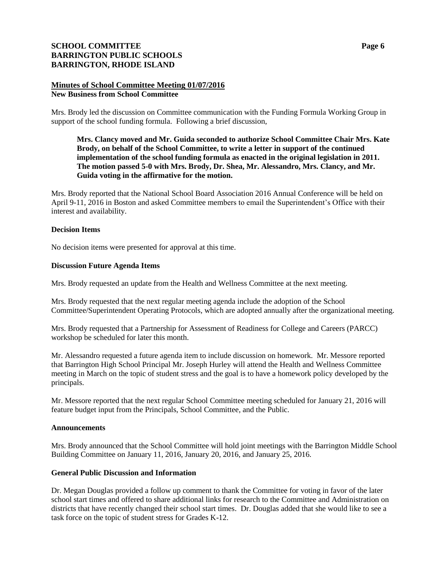# **SCHOOL COMMITTEE Page 6 BARRINGTON PUBLIC SCHOOLS BARRINGTON, RHODE ISLAND**

## **Minutes of School Committee Meeting 01/07/2016 New Business from School Committee**

Mrs. Brody led the discussion on Committee communication with the Funding Formula Working Group in support of the school funding formula. Following a brief discussion,

**Mrs. Clancy moved and Mr. Guida seconded to authorize School Committee Chair Mrs. Kate Brody, on behalf of the School Committee, to write a letter in support of the continued implementation of the school funding formula as enacted in the original legislation in 2011. The motion passed 5-0 with Mrs. Brody, Dr. Shea, Mr. Alessandro, Mrs. Clancy, and Mr. Guida voting in the affirmative for the motion.**

Mrs. Brody reported that the National School Board Association 2016 Annual Conference will be held on April 9-11, 2016 in Boston and asked Committee members to email the Superintendent's Office with their interest and availability.

## **Decision Items**

No decision items were presented for approval at this time.

#### **Discussion Future Agenda Items**

Mrs. Brody requested an update from the Health and Wellness Committee at the next meeting.

Mrs. Brody requested that the next regular meeting agenda include the adoption of the School Committee/Superintendent Operating Protocols, which are adopted annually after the organizational meeting.

Mrs. Brody requested that a Partnership for Assessment of Readiness for College and Careers (PARCC) workshop be scheduled for later this month.

Mr. Alessandro requested a future agenda item to include discussion on homework. Mr. Messore reported that Barrington High School Principal Mr. Joseph Hurley will attend the Health and Wellness Committee meeting in March on the topic of student stress and the goal is to have a homework policy developed by the principals.

Mr. Messore reported that the next regular School Committee meeting scheduled for January 21, 2016 will feature budget input from the Principals, School Committee, and the Public.

#### **Announcements**

Mrs. Brody announced that the School Committee will hold joint meetings with the Barrington Middle School Building Committee on January 11, 2016, January 20, 2016, and January 25, 2016.

#### **General Public Discussion and Information**

Dr. Megan Douglas provided a follow up comment to thank the Committee for voting in favor of the later school start times and offered to share additional links for research to the Committee and Administration on districts that have recently changed their school start times. Dr. Douglas added that she would like to see a task force on the topic of student stress for Grades K-12.